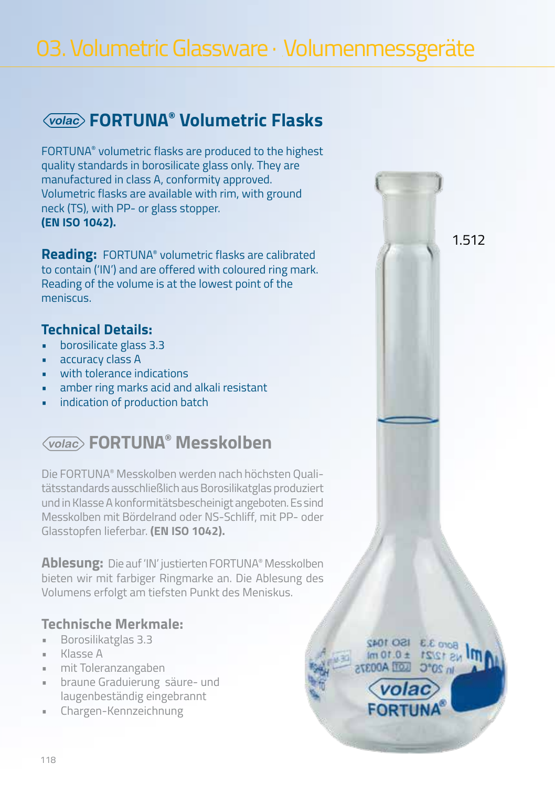FORTUNA® volumetric flasks are produced to the highest quality standards in borosilicate glass only. They are manufactured in class A, conformity approved. Volumetric flasks are available with rim, with ground neck (TS), with PP- or glass stopper. **(EN ISO 1042).**

**Reading:** FORTUNA® volumetric flasks are calibrated to contain ('IN') and are offered with coloured ring mark. Reading of the volume is at the lowest point of the meniscus.

#### **Technical Details:**

- borosilicate glass 3.3
- accuracy class A
- with tolerance indications
- amber ring marks acid and alkali resistant
- indication of production batch

### **FORTUNA® Messkolben**

Die FORTUNA® Messkolben werden nach höchsten Qualitätsstandards ausschließlich aus Borosilikatglas produziert und in Klasse A konformitätsbescheinigt angeboten. Es sind Messkolben mit Bördelrand oder NS-Schliff, mit PP- oder Glasstopfen lieferbar. **(EN ISO 1042).**

**Ablesung:** Die auf 'IN' justierten FORTUNA® Messkolben bieten wir mit farbiger Ringmarke an. Die Ablesung des Volumens erfolgt am tiefsten Punkt des Meniskus.

#### **Technische Merkmale:**

- Borosilikatglas 3.3
- Klasse A
- mit Toleranzangaben
- braune Graduierung säure- und laugenbeständig eingebrannt
- Chargen-Kennzeichnung

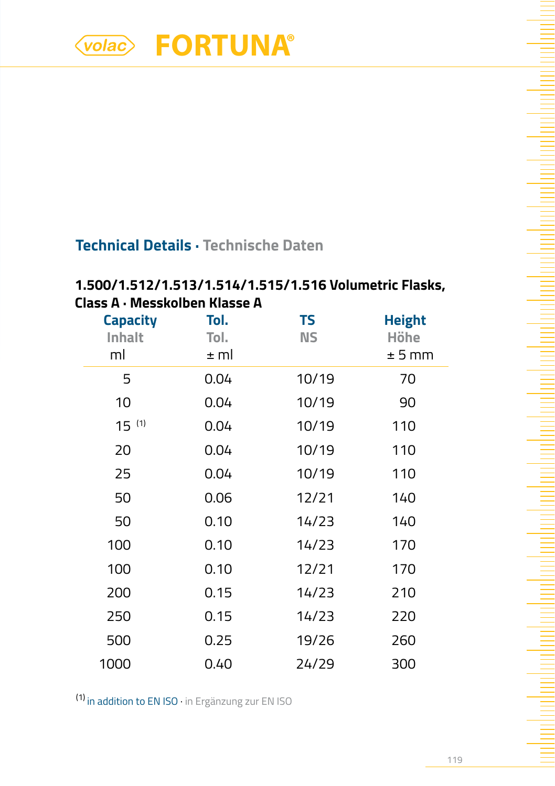### **Technical Details · Technische Daten**

### **1.500/1.512/1.513/1.514/1.515/1.516 Volumetric Flasks, Class A · Messkolben Klasse A**

| <b>Capacity</b><br><b>Inhalt</b><br>ml | Tol.<br>Tol.<br>± ml | <b>TS</b><br><b>NS</b> | <b>Height</b><br>Höhe<br>$± 5$ mm |
|----------------------------------------|----------------------|------------------------|-----------------------------------|
| 5                                      | 0.04                 | 10/19                  | 70                                |
| 10                                     | 0.04                 | 10/19                  | 90                                |
| $15^{(1)}$                             | 0.04                 | 10/19                  | 110                               |
| 20                                     | 0.04                 | 10/19                  | 110                               |
| 25                                     | 0.04                 | 10/19                  | 110                               |
| 50                                     | 0.06                 | 12/21                  | 140                               |
| 50                                     | 0.10                 | 14/23                  | 140                               |
| 100                                    | 0.10                 | 14/23                  | 170                               |
| 100                                    | 0.10                 | 12/21                  | 170                               |
| 200                                    | 0.15                 | 14/23                  | 210                               |
| 250                                    | 0.15                 | 14/23                  | 220                               |
| 500                                    | 0.25                 | 19/26                  | 260                               |
| 1000                                   | 0.40                 | 24/29                  | 300                               |

(1) in addition to EN ISO · in Ergänzung zur EN ISO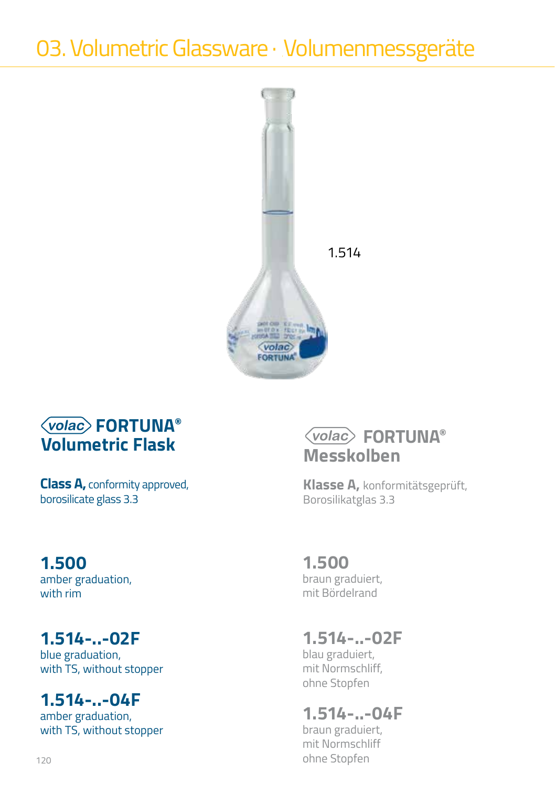

**Class A,** conformity approved, borosilicate glass 3.3

### **1.500**

amber graduation, with rim

## **1.514-..-02F**

blue graduation, with TS, without stopper

### **1.514-..-04F**

amber graduation, with TS, without stopper

## **FORTUNA® Messkolben**

**Klasse A,** konformitätsgeprüft, Borosilikatglas 3.3

### **1.500**

braun graduiert, mit Bördelrand

# **1.514-..-02F**

blau graduiert, mit Normschliff, ohne Stopfen

## **1.514-..-04F**

braun graduiert, mit Normschliff ohne Stopfen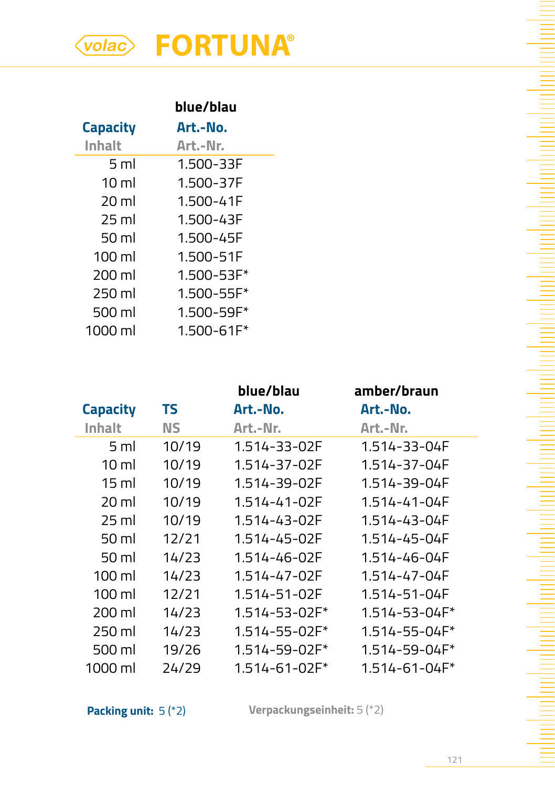|                  | blue/blau      |
|------------------|----------------|
| <b>Capacity</b>  | Art.-No.       |
| Inhalt           | Art.-Nr.       |
| 5 ml             | 1.500-33F      |
| $10 \mathrm{m}$  | 1.500-37F      |
| $20 \mathrm{ml}$ | 1.500-41F      |
| $25$ ml          | 1.500-43F      |
| 50 ml            | 1.500-45F      |
| $100 \mathrm{m}$ | 1.500-51F      |
| 200 ml           | $1.500 - 53F*$ |
| 250 ml           | $1.500 - 55F*$ |
| 500 ml           | $1.500 - 59F*$ |
| 1000 ml          | $1.500 - 61F*$ |

|                  |       | blue/blau     | amber/braun         |
|------------------|-------|---------------|---------------------|
| <b>Capacity</b>  | TS    | Art.-No.      | Art.-No.            |
| Inhalt           | ΝS    | Art.-Nr.      | Art.-Nr.            |
| 5 ml             | 10/19 | 1.514-33-02F  | 1.514-33-04F        |
| 10 ml            | 10/19 | 1.514-37-02F  | 1.514-37-04F        |
| $15 \mathrm{ml}$ | 10/19 | 1.514-39-02F  | 1.514-39-04F        |
| 20 ml            | 10/19 | 1.514-41-02F  | 1.514-41-04F        |
| 25 ml            | 10/19 | 1.514-43-02F  | 1.514-43-04F        |
| 50 ml            | 12/21 | 1.514-45-02F  | 1.514-45-04F        |
| 50 ml            | 14/23 | 1.514-46-02F  | 1.514-46-04F        |
| 100 ml           | 14/23 | 1.514-47-02F  | 1.514-47-04F        |
| $100 \mathrm{m}$ | 12/21 | 1.514-51-02F  | 1.514-51-04F        |
| 200 ml           | 14/23 | 1.514-53-02F* | 1.514-53-04F*       |
| 250 ml           | 14/23 | 1.514-55-02F* | $1.514 - 55 - 04F*$ |
| 500 ml           | 19/26 | 1.514-59-02F* | $1.514 - 59 - 04F*$ |
| 1000 ml          | 24/29 | 1.514-61-02F* | 1.514-61-04F*       |

**Packing unit:** 5 (\*2) **Verpackungseinheit:** 5 (\*2)

an bantara kan bantara da masa da san da da da da a sa ta da da a sa ta a sa ta da da da da da da da da da dan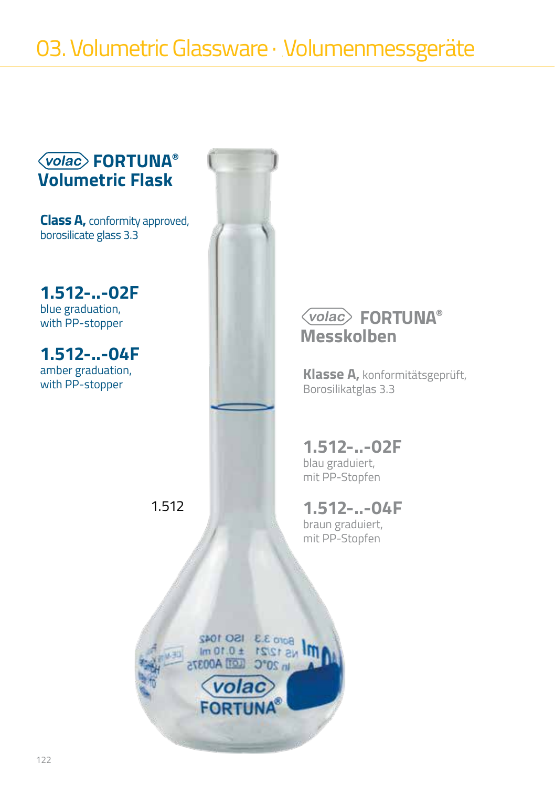**Class A,** conformity approved, borosilicate glass 3.3

**1.512-..-02F** blue graduation, with PP-stopper

**1.512-..-04F** amber graduation, with PP-stopper



### **FORTUNA® Messkolben**

**Klasse A,** konformitätsgeprüft, Borosilikatglas 3.3

# **1.512-..-02F**

blau graduiert, mit PP-Stopfen

### **1.512-..-04F**

braun graduiert, mit PP-Stopfen



1.512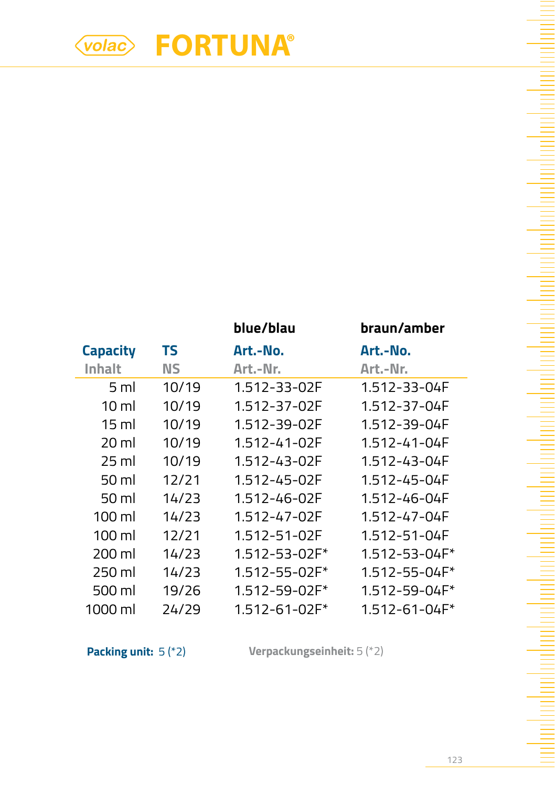|                  |       | blue/blau           | braun/amber         |
|------------------|-------|---------------------|---------------------|
| <b>Capacity</b>  | TS    | Art.-No.            | Art.-No.            |
| Inhalt           | ΝS    | Art.-Nr.            | Art.-Nr.            |
| 5 <sub>m</sub>   | 10/19 | 1.512-33-02F        | 1.512-33-04F        |
| $10 \mathrm{m}$  | 10/19 | 1.512-37-02F        | 1.512-37-04F        |
| 15 ml            | 10/19 | 1.512-39-02F        | 1.512-39-04F        |
| 20 ml            | 10/19 | 1.512-41-02F        | 1.512-41-04F        |
| 25 ml            | 10/19 | 1.512-43-02F        | 1.512-43-04F        |
| 50 ml            | 12/21 | 1.512-45-02F        | 1.512-45-04F        |
| 50 ml            | 14/23 | 1.512-46-02F        | 1.512-46-04F        |
| $100 \mathrm{m}$ | 14/23 | 1.512-47-02F        | 1.512-47-04F        |
| $100 \mathrm{m}$ | 12/21 | 1.512-51-02F        | 1.512-51-04F        |
| 200 ml           | 14/23 | 1.512-53-02F*       | 1.512-53-04F*       |
| 250 ml           | 14/23 | $1.512 - 55 - 02F*$ | $1.512 - 55 - 04F*$ |
| 500 ml           | 19/26 | 1.512-59-02F*       | 1.512-59-04F*       |
| 1000 ml          | 24/29 | $1.512 - 61 - 02F*$ | 1.512-61-04F*       |

**Packing unit:** 5 (\*2) **Verpackungseinheit:** 5 (\*2)

<u> Maria Maria Maria Maria Maria Maria Maria Maria Maria Maria Maria Maria Maria Maria Maria Maria Maria Maria M</u>

 $\equiv$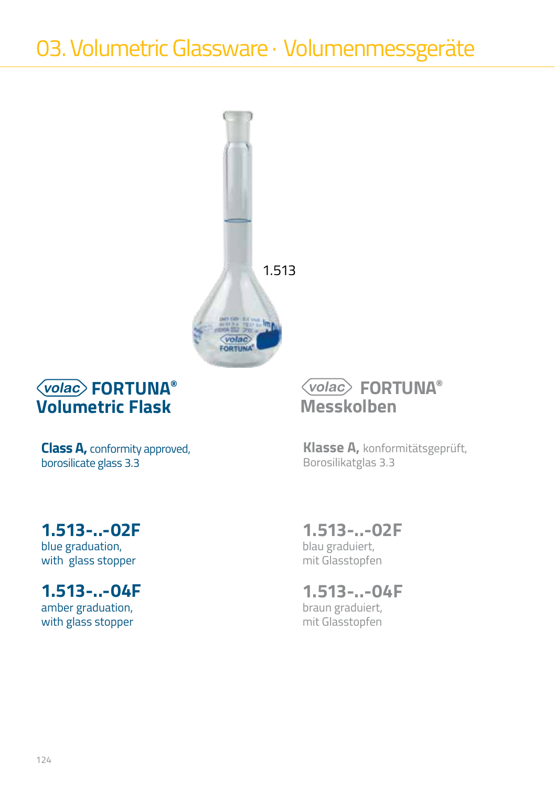

**Class A,** conformity approved, borosilicate glass 3.3

## **1.513-..-02F**

blue graduation, with glass stopper

### **1.513-..-04F**

amber graduation, with glass stopper

### **FORTUNA® Messkolben**

**Klasse A,** konformitätsgeprüft, Borosilikatglas 3.3

### **1.513-..-02F**

blau graduiert, mit Glasstopfen

#### **1.513-..-04F** braun graduiert, mit Glasstopfen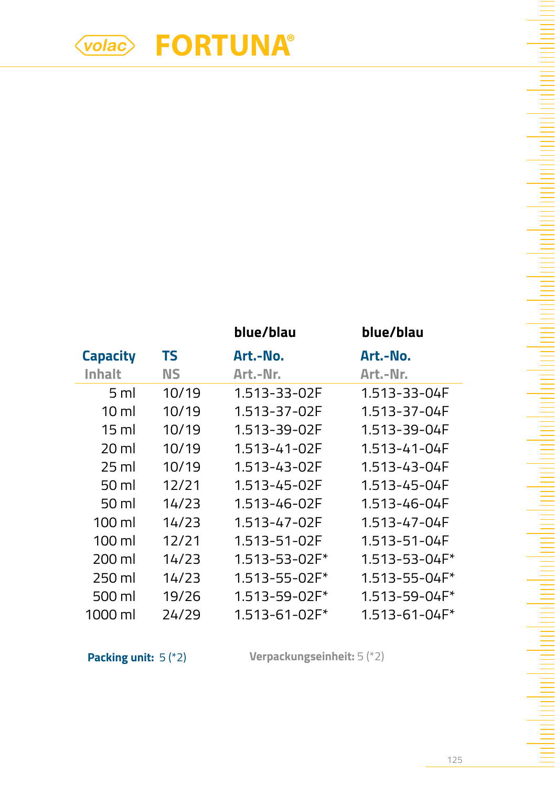|                  |       | blue/blau           | blue/blau     |
|------------------|-------|---------------------|---------------|
| <b>Capacity</b>  | ΤS    | Art.-No.            | Art.-No.      |
| Inhalt           | ΝS    | Art.-Nr.            | Art.-Nr.      |
| 5 ml             | 10/19 | 1.513-33-02F        | 1.513-33-04F  |
| 10 ml            | 10/19 | 1.513-37-02F        | 1.513-37-04F  |
| 15 ml            | 10/19 | 1.513-39-02F        | 1.513-39-04F  |
| 20 ml            | 10/19 | 1.513-41-02F        | 1.513-41-04F  |
| 25 ml            | 10/19 | 1.513-43-02F        | 1.513-43-04F  |
| 50 ml            | 12/21 | 1.513-45-02F        | 1.513-45-04F  |
| 50 ml            | 14/23 | 1.513-46-02F        | 1.513-46-04F  |
| $100 \mathrm{m}$ | 14/23 | 1.513-47-02F        | 1.513-47-04F  |
| $100 \mathrm{m}$ | 12/21 | 1.513-51-02F        | 1.513-51-04F  |
| 200 ml           | 14/23 | 1.513-53-02F*       | 1.513-53-04F* |
| 250 ml           | 14/23 | 1.513-55-02F*       | 1.513-55-04F* |
| 500 ml           | 19/26 | 1.513-59-02F*       | 1.513-59-04F* |
| 1000 ml          | 24/29 | $1.513 - 61 - 02F*$ | 1.513-61-04F* |

**Packing unit:** 5 (\*2) **Verpackungseinheit:** 5 (\*2)

<u> El propincia de la propincia de la propincia de la propincia de la propincia de la propincia de la propincia </u>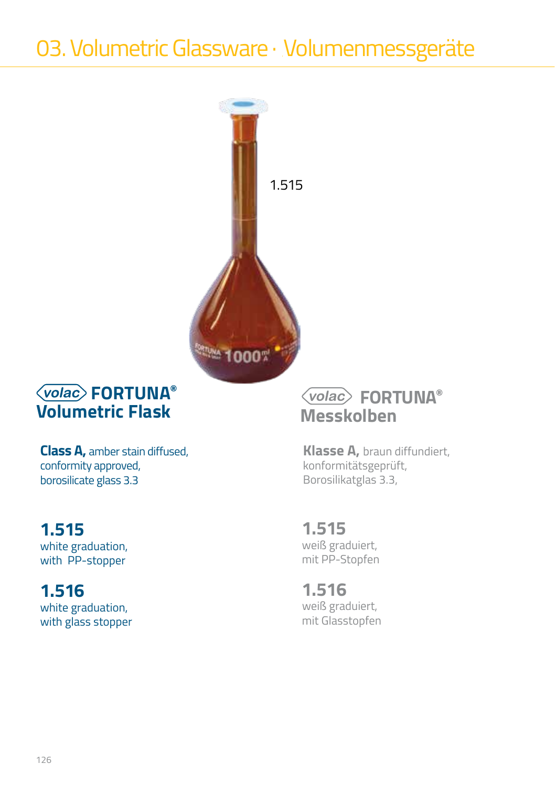

**Class A,** amber stain diffused, conformity approved, borosilicate glass 3.3

### **1.515**

white graduation, with PP-stopper

## **1.516**

white graduation, with glass stopper

### **FORTUNA® Messkolben**

**Klasse A,** braun diffundiert, konformitätsgeprüft, Borosilikatglas 3.3,

#### **1.515** weiß graduiert,

mit PP-Stopfen

**1.516** weiß graduiert, mit Glasstopfen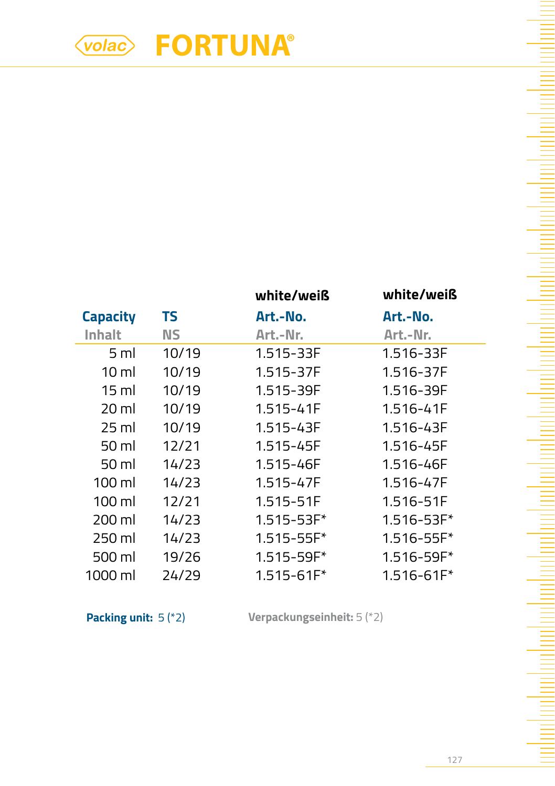|                  |       | white/weiß     | white/weiß     |
|------------------|-------|----------------|----------------|
| <b>Capacity</b>  | TS    | Art.-No.       | Art.-No.       |
| Inhalt           | ΝS    | Art.-Nr.       | Art.-Nr.       |
| 5 <sub>m</sub>   | 10/19 | 1.515-33F      | 1.516-33F      |
| $10 \mathrm{m}$  | 10/19 | 1.515-37F      | 1.516-37F      |
| 15 ml            | 10/19 | 1.515-39F      | 1.516-39F      |
| 20 ml            | 10/19 | 1.515-41F      | 1.516-41F      |
| 25 ml            | 10/19 | 1.515-43F      | 1.516-43F      |
| 50 ml            | 12/21 | 1.515-45F      | 1.516-45F      |
| 50 ml            | 14/23 | 1.515-46F      | 1.516-46F      |
| $100 \mathrm{m}$ | 14/23 | 1.515-47F      | 1.516-47F      |
| $100 \mathrm{m}$ | 12/21 | 1.515-51F      | 1.516-51F      |
| 200 ml           | 14/23 | $1.515 - 53F*$ | 1.516-53F*     |
| 250 ml           | 14/23 | $1.515 - 55F*$ | $1.516 - 55F*$ |
| 500 ml           | 19/26 | 1.515-59F*     | 1.516-59F*     |
| 1000 ml          | 24/29 | 1.515-61F*     | 1.516-61F*     |

**Packing unit:** 5 (\*2) **Verpackungseinheit:** 5 (\*2)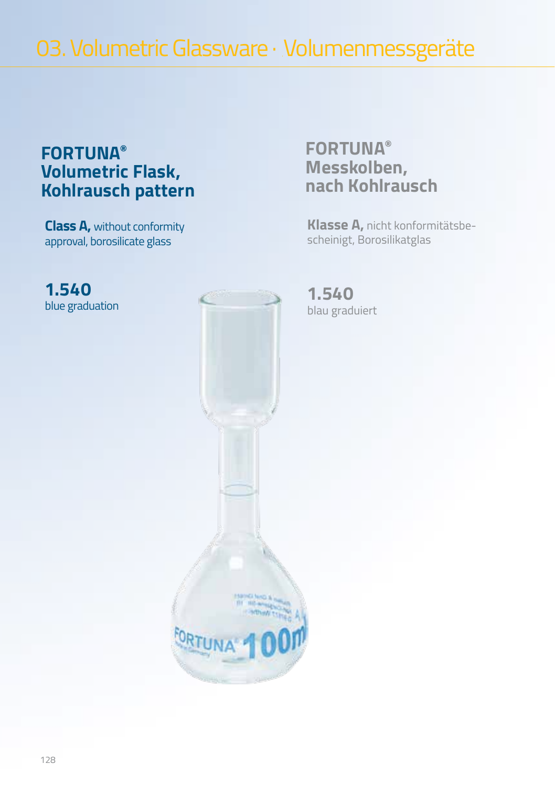03. Volumetric Glassware · Volumenmessgeräte

### **FORTUNA® Volumetric Flask, Kohlrausch pattern**

**Class A,** without conformity approval, borosilicate glass

**1.540** blue graduation



### **FORTUNA® Messkolben, nach Kohlrausch**

**Klasse A,** nicht konformitätsbescheinigt, Borosilikatglas

**1.540** blau graduiert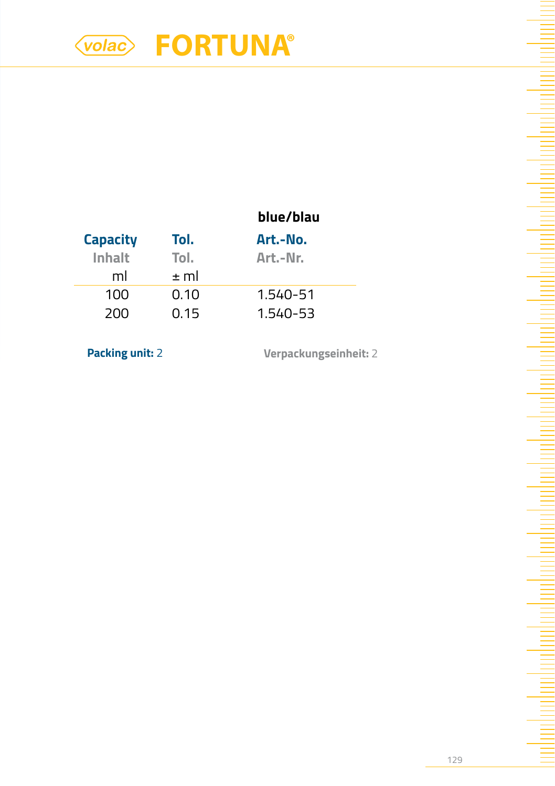|                 |          | blue/blau |
|-----------------|----------|-----------|
| <b>Capacity</b> | Tol.     | Art.-No.  |
| Inhalt          | Tol.     | Art.-Nr.  |
| ml              | $\pm$ ml |           |
| 100             | 0.10     | 1.540-51  |
| 200             | 0.15     | 1.540-53  |
|                 |          |           |

**Packing unit:** 2 **Verpackungseinheit:** 2

ha ha ha shekarar 1999 ha kasar 1999 ha shekarar 1999 ha shekarar 1999 ha shekarar 1999 ha shekarar 1999 ha sh

da maharitan hari dan berasa dari dan berasa dari dalam berasa dan berasa dari dalam berasa dan berasa dan ber

ᆖ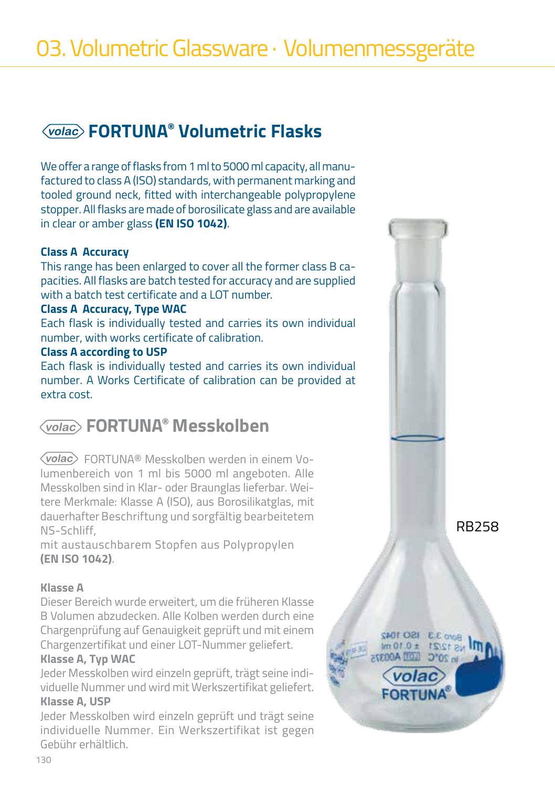We offer a range of flasks from 1 ml to 5000 ml capacity, all manufactured to class A (ISO) standards, with permanent marking and tooled ground neck, fitted with interchangeable polypropylene stopper. All flasks are made of borosilicate glass and are available in clear or amber glass **(EN ISO 1042)**.

#### **Class A Accuracy**

This range has been enlarged to cover all the former class B capacities. All flasks are batch tested for accuracy and are supplied with a batch test certificate and a LOT number.

#### **Class A Accuracy, Type WAC**

Each flask is individually tested and carries its own individual number, with works certificate of calibration.

#### **Class A according to USP**

Each flask is individually tested and carries its own individual number. A Works Certificate of calibration can be provided at extra cost.

### **FORTUNA® Messkolben**

 FORTUNA® Messkolben werden in einem Volumenbereich von 1 ml bis 5000 ml angeboten. Alle Messkolben sind in Klar- oder Braunglas lieferbar. Weitere Merkmale: Klasse A (ISO), aus Borosilikatglas, mit dauerhafter Beschriftung und sorgfältig bearbeitetem NS-Schliff,

mit austauschbarem Stopfen aus Polypropylen **(EN ISO 1042)**.

#### **Klasse A**

Dieser Bereich wurde erweitert, um die früheren Klasse B Volumen abzudecken. Alle Kolben werden durch eine Chargenprüfung auf Genauigkeit geprüft und mit einem Chargenzertifikat und einer LOT-Nummer geliefert.

#### **Klasse A, Typ WAC**

Jeder Messkolben wird einzeln geprüft, trägt seine individuelle Nummer und wird mit Werkszertifikat geliefert. **Klasse A, USP**

Jeder Messkolben wird einzeln geprüft und trägt seine individuelle Nummer. Ein Werkszertifikat ist gegen Gebühr erhältlich.



RB258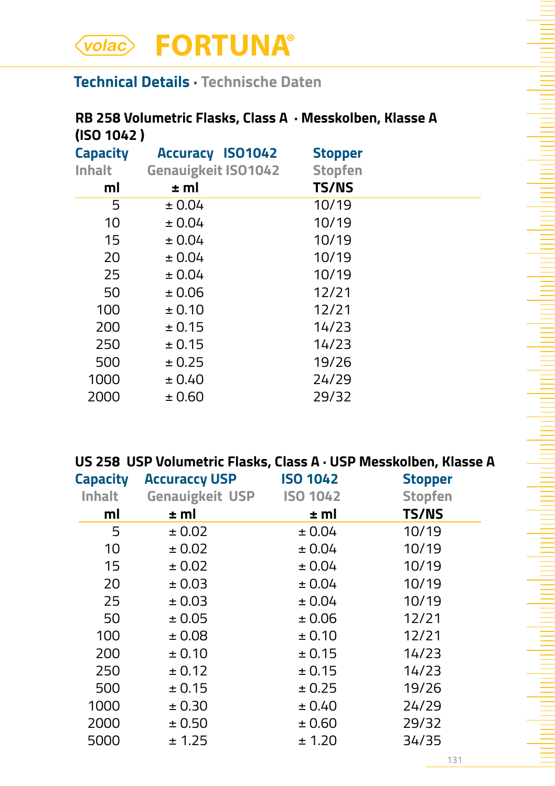### **Technical Details · Technische Daten**

### **RB 258 Volumetric Flasks, Class A · Messkolben, Klasse A (ISO 1042 )**

| <b>Capacity</b><br>Inhalt<br>ml | <b>Accuracy ISO1042</b><br><b>Genauigkeit ISO1042</b><br>± ml | <b>Stopper</b><br><b>Stopfen</b><br><b>TS/NS</b> |  |
|---------------------------------|---------------------------------------------------------------|--------------------------------------------------|--|
| 5                               | ± 0.04                                                        | 10/19                                            |  |
| 10                              | ± 0.04                                                        | 10/19                                            |  |
| 15                              | ± 0.04                                                        | 10/19                                            |  |
| 20                              | ± 0.04                                                        | 10/19                                            |  |
| 25                              | ± 0.04                                                        | 10/19                                            |  |
| 50                              | ± 0.06                                                        | 12/21                                            |  |
| 100                             | ± 0.10                                                        | 12/21                                            |  |
| 200                             | ± 0.15                                                        | 14/23                                            |  |
| 250                             | ± 0.15                                                        | 14/23                                            |  |
| 500                             | ± 0.25                                                        | 19/26                                            |  |
| 1000                            | ± 0.40                                                        | 24/29                                            |  |
| 2000                            | ± 0.60                                                        | 29/32                                            |  |

#### **US 258 USP Volumetric Flasks, Class A · USP Messkolben, Klasse A**

| <b>Capacity</b> | <b>Accuraccy USP</b>   | <b>ISO 1042</b> | <b>Stopper</b> |
|-----------------|------------------------|-----------------|----------------|
| Inhalt          | <b>Genauigkeit USP</b> | <b>ISO 1042</b> | <b>Stopfen</b> |
| ml              | ± ml                   | ± ml            | <b>TS/NS</b>   |
| 5               | ± 0.02                 | ± 0.04          | 10/19          |
| 10              | ± 0.02                 | ± 0.04          | 10/19          |
| 15              | ± 0.02                 | ± 0.04          | 10/19          |
| 20              | ± 0.03                 | ± 0.04          | 10/19          |
| 25              | ± 0.03                 | ± 0.04          | 10/19          |
| 50              | ± 0.05                 | ± 0.06          | 12/21          |
| 100             | ± 0.08                 | ± 0.10          | 12/21          |
| 200             | ± 0.10                 | ± 0.15          | 14/23          |
| 250             | ± 0.12                 | ± 0.15          | 14/23          |
| 500             | ± 0.15                 | ± 0.25          | 19/26          |
| 1000            | ± 0.30                 | ± 0.40          | 24/29          |
| 2000            | ± 0.50                 | ± 0.60          | 29/32          |
| 5000            | ± 1.25                 | ± 1.20          | 34/35          |
|                 |                        |                 |                |

Ē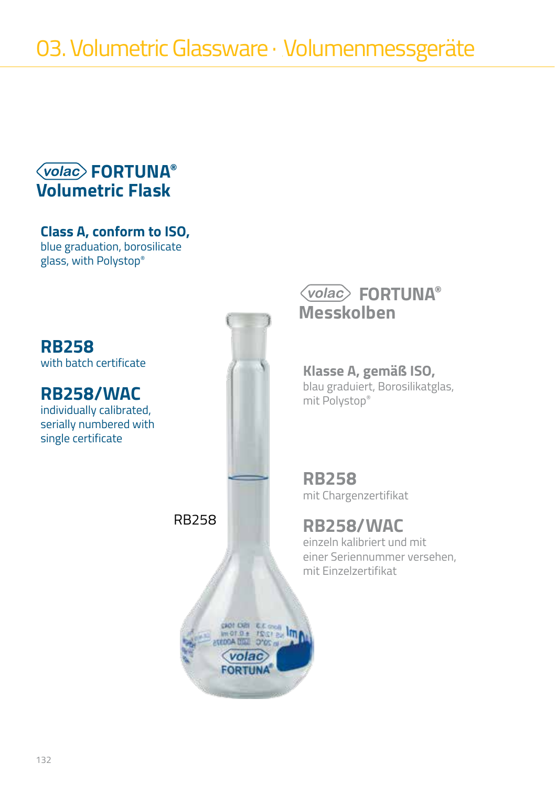**Class A, conform to ISO,** blue graduation, borosilicate glass, with Polystop®

### **RB258**

with batch certificate

### **RB258/WAC**

individually calibrated, serially numbered with single certificate



**EQDITION** 

### **FORTUNA® Messkolben**

**Klasse A, gemäß ISO,**  blau graduiert, Borosilikatglas, mit Polystop®

**RB258** mit Chargenzertifikat

### **RB258/WAC**

einzeln kalibriert und mit einer Seriennummer versehen, mit Einzelzertifikat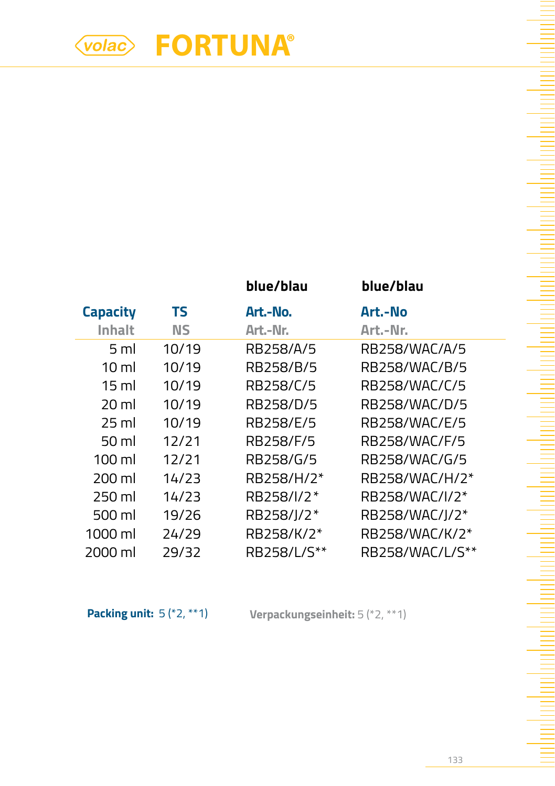|                  |           | blue/blau   | blue/blau       |
|------------------|-----------|-------------|-----------------|
| <b>Capacity</b>  | TS        | Art.-No.    | Art.-No         |
| Inhalt           | <b>NS</b> | Art.-Nr.    | Art.-Nr.        |
| 5 ml             | 10/19     | RB258/A/5   | RB258/WAC/A/5   |
| $10 \mathrm{m}$  | 10/19     | RB258/B/5   | RB258/WAC/B/5   |
| 15 ml            | 10/19     | RB258/C/5   | RB258/WAC/C/5   |
| 20 ml            | 10/19     | RB258/D/5   | RB258/WAC/D/5   |
| 25 ml            | 10/19     | RB258/E/5   | RB258/WAC/E/5   |
| 50 ml            | 12/21     | RB258/F/5   | RB258/WAC/F/5   |
| $100 \mathrm{m}$ | 12/21     | RB258/G/5   | RB258/WAC/G/5   |
| 200 ml           | 14/23     | RB258/H/2*  | RB258/WAC/H/2*  |
| 250 ml           | 14/23     | RB258/I/2*  | RB258/WAC/I/2*  |
| 500 ml           | 19/26     | RB258/J/2*  | RB258/WAC/J/2*  |
| 1000 ml          | 24/29     | RB258/K/2*  | RB258/WAC/K/2*  |
| 2000 ml          | 29/32     | RB258/L/S** | RB258/WAC/L/S** |

**Packing unit:** 5 (\*2, \*\*1) **Verpackungseinheit:** 5 (\*2, \*\*1)

a a badan da san sa san sa tagairte a tagairte a tagairte a tagairte a tagairte a tagairte a tagairte a tagair

<u>implie</u>

naharian bahasa dan kecamatan dari dalam dan dalam dan dalam dalam dalam dalam dalam dalam dalam dalam dalam d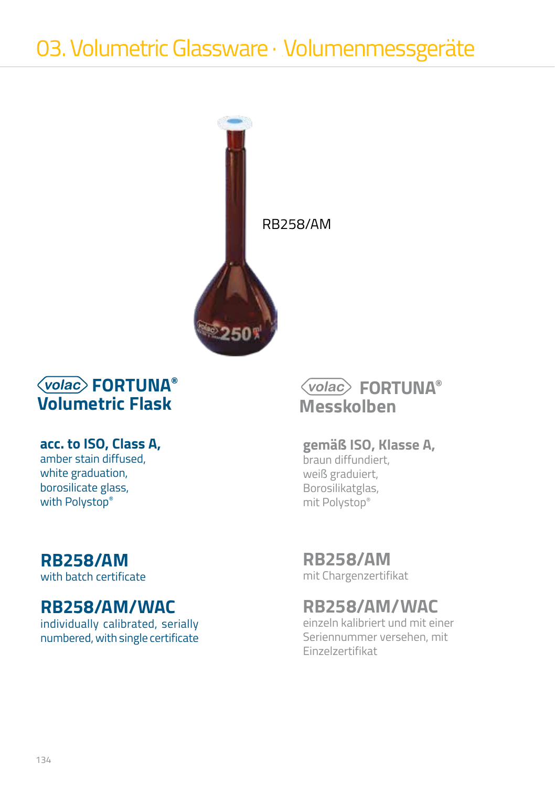

### **acc. to ISO, Class A,**

amber stain diffused, white graduation, borosilicate glass, with Polystop®

### **RB258/AM**

with batch certificate

### **RB258/AM/WAC**

individually calibrated, serially numbered, with single certificate

### **FORTUNA® Messkolben**

### **gemäß ISO, Klasse A,**

braun diffundiert, weiß graduiert, Borosilikatglas, mit Polystop®

### **RB258/AM**

mit Chargenzertifikat

### **RB258/AM/WAC**

einzeln kalibriert und mit einer Seriennummer versehen, mit Einzelzertifikat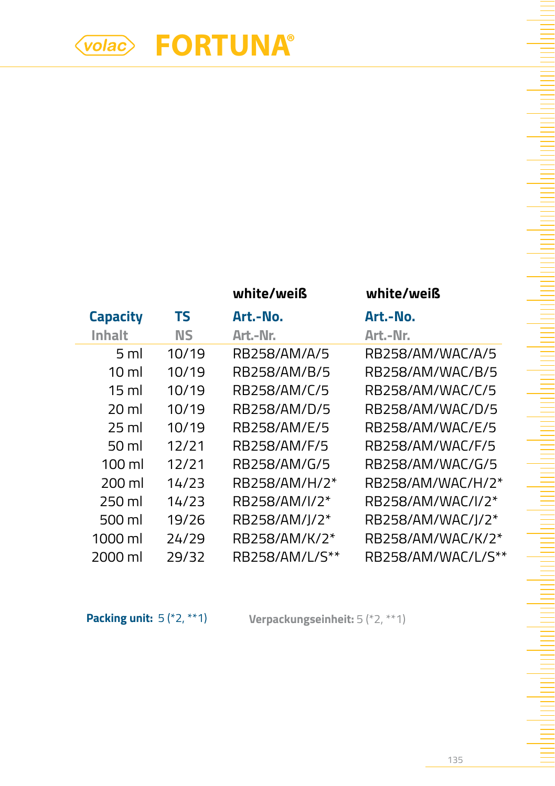### **white/weiß white/weiß**

| <b>Capacity</b>  | ΤS        | Art.-No.       | Art.-No.           |
|------------------|-----------|----------------|--------------------|
| Inhalt           | <b>NS</b> | Art.-Nr.       | Art.-Nr.           |
| 5 <sub>ml</sub>  | 10/19     | RB258/AM/A/5   | RB258/AM/WAC/A/5   |
| $10 \mathrm{m}$  | 10/19     | RB258/AM/B/5   | RB258/AM/WAC/B/5   |
| $15 \text{ ml}$  | 10/19     | RB258/AM/C/5   | RB258/AM/WAC/C/5   |
| 20 ml            | 10/19     | RB258/AM/D/5   | RB258/AM/WAC/D/5   |
| 25 ml            | 10/19     | RB258/AM/E/5   | RB258/AM/WAC/E/5   |
| $50 \mathrm{ml}$ | 12/71     | RB258/AM/F/5   | RB258/AM/WAC/F/5   |
| $100 \mathrm{m}$ | 12/21     | RB258/AM/G/5   | RB258/AM/WAC/G/5   |
| 200 ml           | 14/23     | RB258/AM/H/2*  | RB258/AM/WAC/H/2*  |
| 250 ml           | 14/23     | RB258/AM/I/2*  | RB258/AM/WAC/I/2*  |
| 500 ml           | 19/26     | RB258/AM/J/2*  | RB258/AM/WAC/J/2*  |
| 1000 ml          | 24/29     | RB258/AM/K/2*  | RB258/AM/WAC/K/2*  |
| 2000 ml          | 29/32     | RB258/AM/L/S** | RB258/AM/WAC/L/S** |

**Packing unit:** 5 (\*2, \*\*1) **Verpackungseinheit:** 5 (\*2, \*\*1)

ha ha ha ha ha ha ha ha ha ha ha ha h

da maharitar beriku dan bertakan berasa dari dari dalam berikut dan berasa dari dalam berasa dan berasa dan be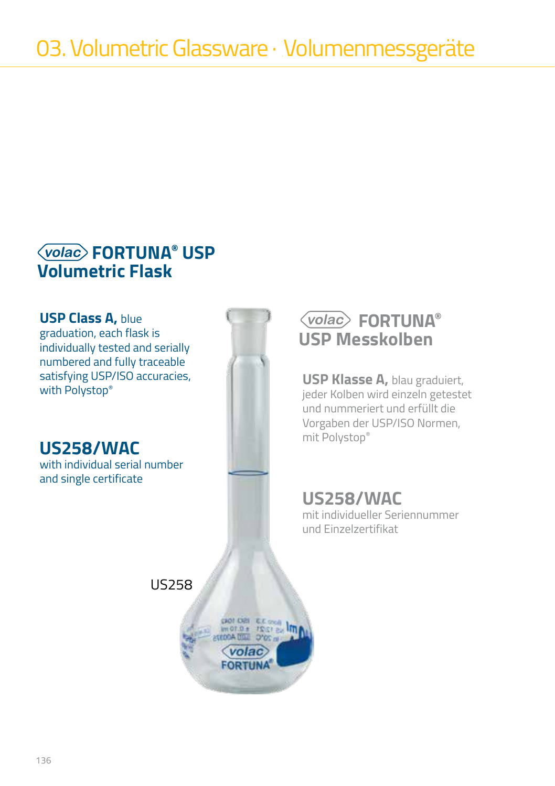**USP Class A,** blue graduation, each flask is individually tested and serially numbered and fully traceable satisfying USP/ISO accuracies,<br>with Polystop®

**US258/WAC**

with individual serial number and single certificate



### **FORTUNA® USP Messkolben**

**USP Klasse A, blau graduiert,** jeder Kolben wird einzeln getestet und nummeriert und erfüllt die Vorgaben der USP/ISO Normen, mit Polystop®

**US258/WAC** mit individueller Seriennummer und Einzelzertifikat

US258

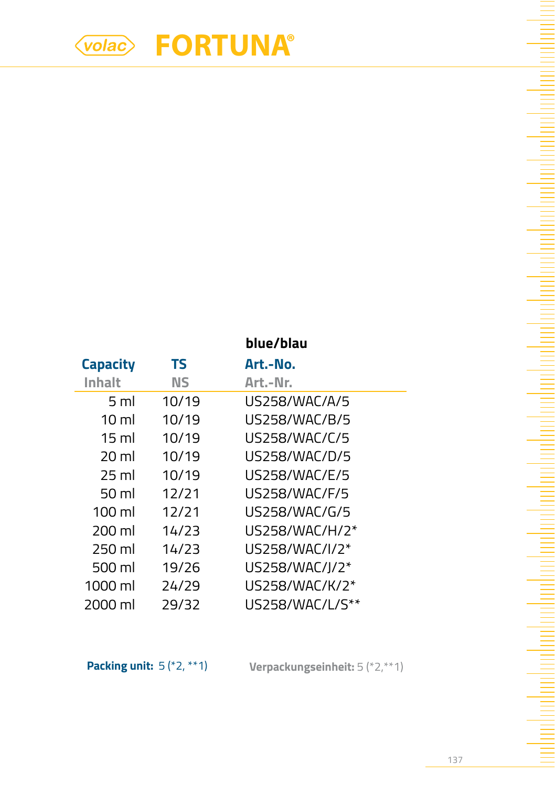|                    |       | blue/blau       |
|--------------------|-------|-----------------|
| <b>Capacity</b>    | ΤS    | Art.-No.        |
| Inhalt             | ΝS    | Art.-Nr.        |
| 5 ml               | 10/19 | US258/WAC/A/5   |
| $10 \mathrm{m}$    | 10/19 | US258/WAC/B/5   |
| 15 ml              | 10/19 | US258/WAC/C/5   |
| 20 <sub>ml</sub>   | 10/19 | US258/WAC/D/5   |
| 25 ml              | 10/19 | US258/WAC/F/5   |
| $50 \,\mathrm{ml}$ | 12/21 | US258/WAC/F/5   |
| $100 \mathrm{ml}$  | 12/21 | US258/WAC/G/5   |
| 200 ml             | 14/23 | US258/WAC/H/2*  |
| 250 ml             | 14/23 | US258/WAC/I/2*  |
| 500 ml             | 19/26 | US258/WAC/J/2*  |
| 1000 ml            | 24/29 | US258/WAC/K/2*  |
| 2000 ml            | 29/32 | US258/WAC/L/S** |

**Packing unit:** 5 (\*2, \*\*1) **Verpackungseinheit:** 5 (\*2,\*\*1)

an bantara kan bantara da masa da san da da da da a sa ta da da a sa ta a sa ta da da da da da da da da da dan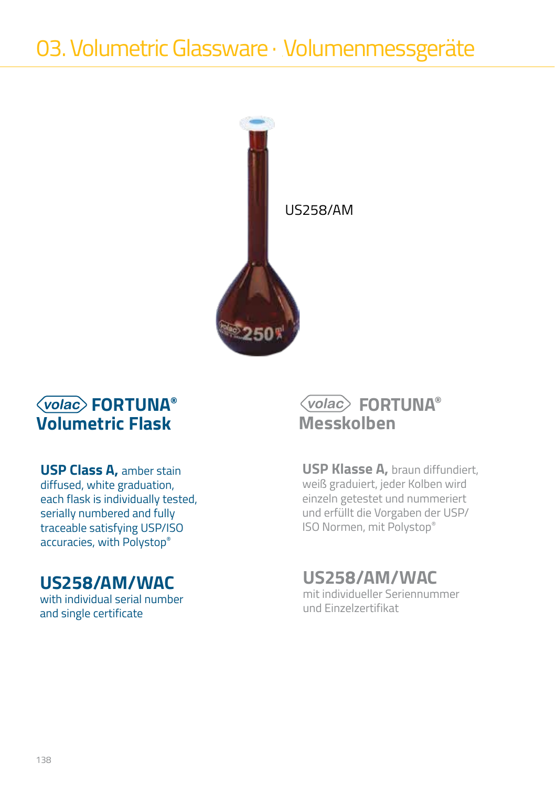

**USP Class A,** amber stain diffused, white graduation, each flask is individually tested, serially numbered and fully traceable satisfying USP/ISO accuracies, with Polystop®

## **US258/AM/WAC**

with individual serial number and single certificate

## **FORTUNA® Messkolben**

**USP Klasse A,** braun diffundiert, weiß graduiert, jeder Kolben wird einzeln getestet und nummeriert und erfüllt die Vorgaben der USP/ ISO Normen, mit Polystop®

# **US258/AM/WAC**

mit individueller Seriennummer und Einzelzertifikat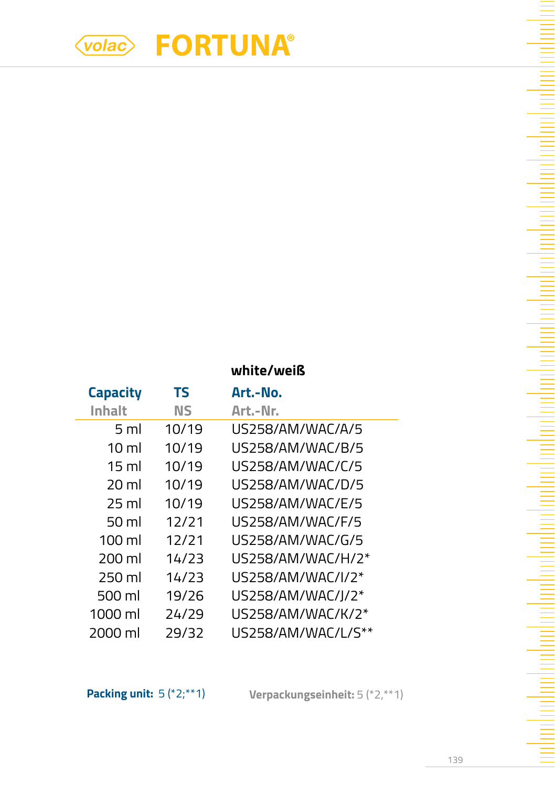|                  | white/weiß |                    |  |
|------------------|------------|--------------------|--|
| <b>Capacity</b>  | TS         | Art.-No.           |  |
| Inhalt           | ΝS         | Art.-Nr.           |  |
| 5 ml             | 10/19      | US258/AM/WAC/A/5   |  |
| 10 ml            | 10/19      | US258/AM/WAC/B/5   |  |
| 15 ml            | 10/19      | US258/AM/WAC/C/5   |  |
| 20 ml            | 10/19      | US258/AM/WAC/D/5   |  |
| 25 ml            | 10/19      | US258/AM/WAC/F/5   |  |
| 50 ml            | 12/21      | US258/AM/WAC/F/5   |  |
| $100 \mathrm{m}$ | 12/71      | US258/AM/WAC/G/5   |  |
| 200 ml           | 14/23      | US258/AM/WAC/H/2*  |  |
| 250 ml           | 14/23      | US258/AM/WAC/I/2*  |  |
| 500 ml           | 19/26      | US258/AM/WAC/I/2*  |  |
| 1000 ml          | 24/29      | US258/AM/WAC/K/2*  |  |
| 2000 ml          | 29/32      | US258/AM/WAC/L/S** |  |

**Packing unit:** 5 (\*2;\*\*1) **Verpackungseinheit:** 5 (\*2,\*\*1)

an bantara kan bantara da masa da san da da da da a sa ta da da a sa ta a sa ta da da da da da da da da da dan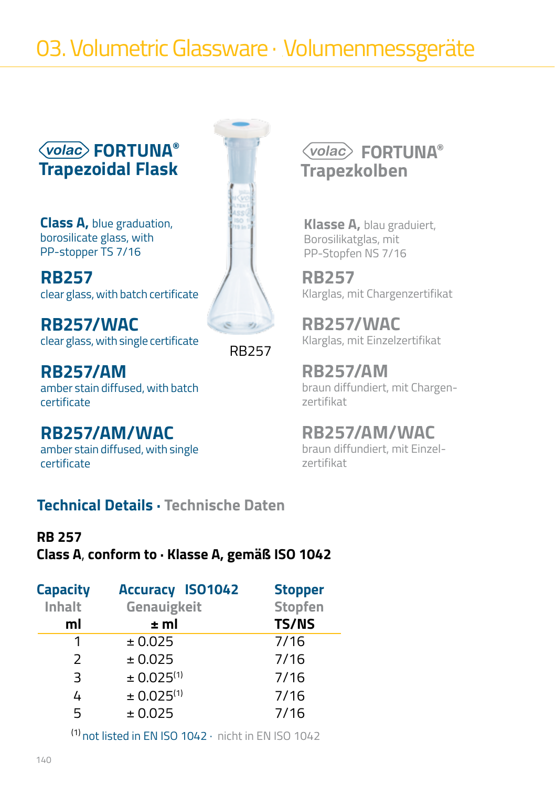# 03. Volumetric Glassware · Volumenmessgeräte

### **FORTUNA® Trapezoidal Flask**

**Class A,** blue graduation, borosilicate glass, with PP-stopper TS 7/16

**RB257** clear glass, with batch certificate

**RB257/WAC** clear glass, with single certificate

RB257

**RB257/AM** amber stain diffused, with batch certificate

# **RB257/AM/WAC**

amber stain diffused, with single certificate

### **Technical Details · Technische Daten**

#### **RB 257**

#### **Class A**, **conform to · Klasse A, gemäß ISO 1042**

| Capacity      | <b>Accuracy ISO1042</b> | <b>Stopper</b> |
|---------------|-------------------------|----------------|
| Inhalt        | Genauigkeit             | <b>Stopfen</b> |
| ml            | ±ml                     | <b>TS/NS</b>   |
| 1             | ± 0.025                 | 7/16           |
| $\mathcal{L}$ | ± 0.025                 | 7/16           |
| 3             | ± 0.025 <sup>(1)</sup>  | 7/16           |
| 4             | ± 0.025 <sup>(1)</sup>  | 7/16           |
| 5             | ± 0.025                 | 7/16           |

(1) not listed in EN ISO 1042 · nicht in EN ISO 1042

# **FORTUNA® Trapezkolben**

**Klasse A,** blau graduiert, Borosilikatglas, mit PP-Stopfen NS 7/16

**RB257** Klarglas, mit Chargenzertifikat

**RB257/WAC** Klarglas, mit Einzelzertifikat

**RB257/AM** braun diffundiert, mit Chargenzertifikat

## **RB257/AM/WAC**

braun diffundiert, mit Einzelzertifikat